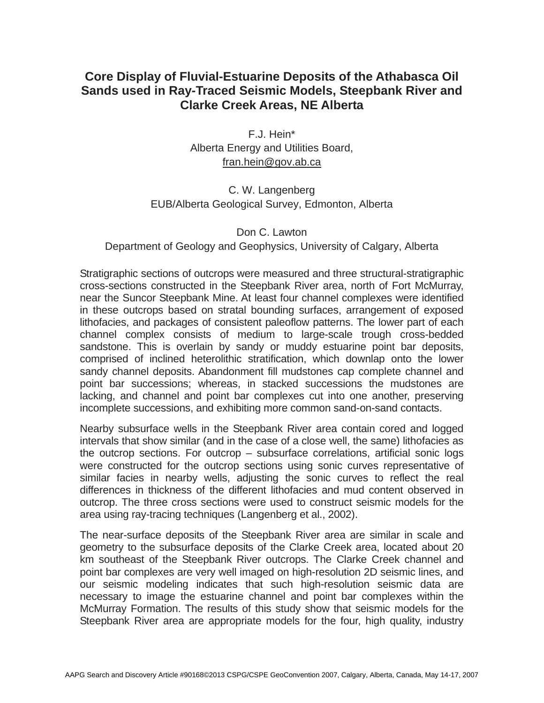# **Core Display of Fluvial-Estuarine Deposits of the Athabasca Oil Sands used in Ray-Traced Seismic Models, Steepbank River and Clarke Creek Areas, NE Alberta**

F.J. Hein\* Alberta Energy and Utilities Board, fran.hein@gov.ab.ca

## C. W. Langenberg EUB/Alberta Geological Survey, Edmonton, Alberta

#### Don C. Lawton

### Department of Geology and Geophysics, University of Calgary, Alberta

Stratigraphic sections of outcrops were measured and three structural-stratigraphic cross-sections constructed in the Steepbank River area, north of Fort McMurray, near the Suncor Steepbank Mine. At least four channel complexes were identified in these outcrops based on stratal bounding surfaces, arrangement of exposed lithofacies, and packages of consistent paleoflow patterns. The lower part of each channel complex consists of medium to large-scale trough cross-bedded sandstone. This is overlain by sandy or muddy estuarine point bar deposits, comprised of inclined heterolithic stratification, which downlap onto the lower sandy channel deposits. Abandonment fill mudstones cap complete channel and point bar successions; whereas, in stacked successions the mudstones are lacking, and channel and point bar complexes cut into one another, preserving incomplete successions, and exhibiting more common sand-on-sand contacts.

Nearby subsurface wells in the Steepbank River area contain cored and logged intervals that show similar (and in the case of a close well, the same) lithofacies as the outcrop sections. For outcrop – subsurface correlations, artificial sonic logs were constructed for the outcrop sections using sonic curves representative of similar facies in nearby wells, adjusting the sonic curves to reflect the real differences in thickness of the different lithofacies and mud content observed in outcrop. The three cross sections were used to construct seismic models for the area using ray-tracing techniques (Langenberg et al., 2002).

The near-surface deposits of the Steepbank River area are similar in scale and geometry to the subsurface deposits of the Clarke Creek area, located about 20 km southeast of the Steepbank River outcrops. The Clarke Creek channel and point bar complexes are very well imaged on high-resolution 2D seismic lines, and our seismic modeling indicates that such high-resolution seismic data are necessary to image the estuarine channel and point bar complexes within the McMurray Formation. The results of this study show that seismic models for the Steepbank River area are appropriate models for the four, high quality, industry